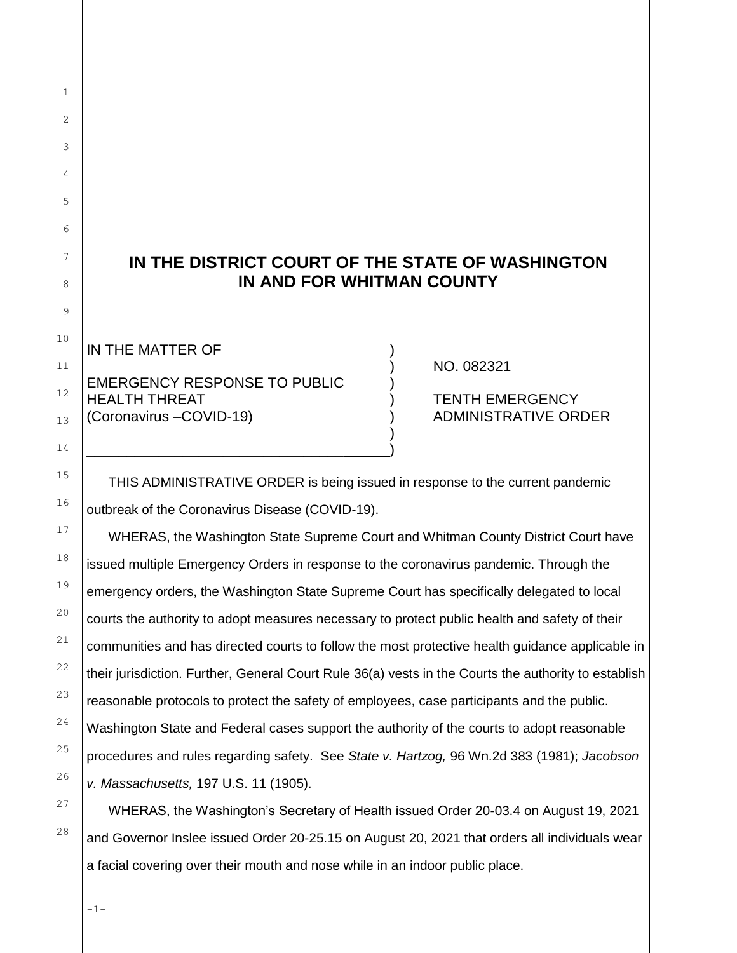## **IN THE DISTRICT COURT OF THE STATE OF WASHINGTON IN AND FOR WHITMAN COUNTY**

IN THE MATTER OF

## EMERGENCY RESPONSE TO PUBLIC ) HEALTH THREAT ) TENTH EMERGENCY (Coronavirus –COVID-19) (Coronavirus –COVID-19)  $)$

\_\_\_\_\_\_\_\_\_\_\_\_\_\_\_\_\_\_\_\_\_\_\_\_\_\_\_\_\_\_\_\_ )

) NO. 082321

THIS ADMINISTRATIVE ORDER is being issued in response to the current pandemic outbreak of the Coronavirus Disease (COVID-19).

WHERAS, the Washington State Supreme Court and Whitman County District Court have issued multiple Emergency Orders in response to the coronavirus pandemic. Through the emergency orders, the Washington State Supreme Court has specifically delegated to local courts the authority to adopt measures necessary to protect public health and safety of their communities and has directed courts to follow the most protective health guidance applicable in their jurisdiction. Further, General Court Rule 36(a) vests in the Courts the authority to establish reasonable protocols to protect the safety of employees, case participants and the public. Washington State and Federal cases support the authority of the courts to adopt reasonable procedures and rules regarding safety. See *State v. Hartzog,* 96 Wn.2d 383 (1981); *Jacobson v. Massachusetts,* 197 U.S. 11 (1905).

WHERAS, the Washington's Secretary of Health issued Order 20-03.4 on August 19, 2021 and Governor Inslee issued Order 20-25.15 on August 20, 2021 that orders all individuals wear a facial covering over their mouth and nose while in an indoor public place.